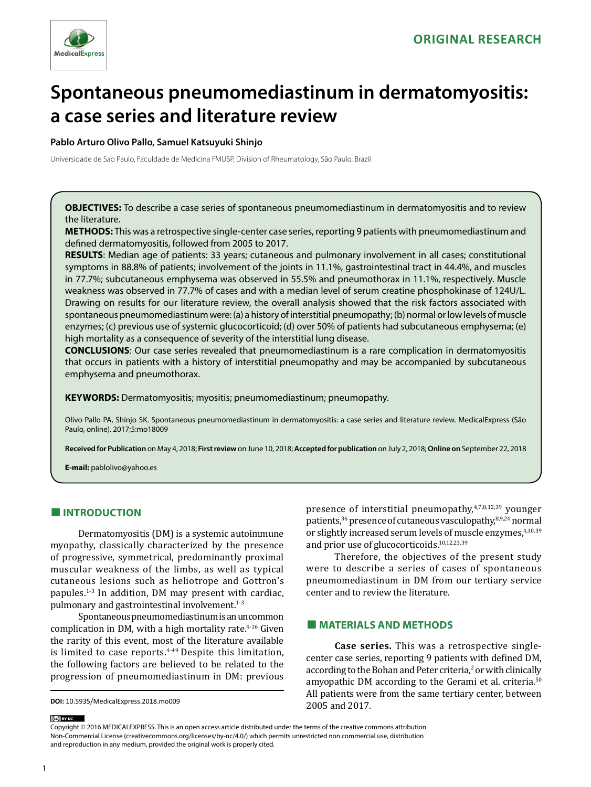

# **Spontaneous pneumomediastinum in dermatomyositis: a case series and literature review**

#### **Pablo Arturo Olivo Pallo, Samuel Katsuyuki Shinjo**

Universidade de Sao Paulo, Faculdade de Medicina FMUSP, Division of Rheumatology, São Paulo, Brazil

**OBJECTIVES:** To describe a case series of spontaneous pneumomediastinum in dermatomyositis and to review the literature.

**METHODS:** This was a retrospective single-center case series, reporting 9 patients with pneumomediastinum and defined dermatomyositis, followed from 2005 to 2017.

**RESULTS**: Median age of patients: 33 years; cutaneous and pulmonary involvement in all cases; constitutional symptoms in 88.8% of patients; involvement of the joints in 11.1%, gastrointestinal tract in 44.4%, and muscles in 77.7%; subcutaneous emphysema was observed in 55.5% and pneumothorax in 11.1%, respectively. Muscle weakness was observed in 77.7% of cases and with a median level of serum creatine phosphokinase of 124U/L. Drawing on results for our literature review, the overall analysis showed that the risk factors associated with spontaneous pneumomediastinum were: (a) a history of interstitial pneumopathy; (b) normal or low levels of muscle enzymes; (c) previous use of systemic glucocorticoid; (d) over 50% of patients had subcutaneous emphysema; (e) high mortality as a consequence of severity of the interstitial lung disease.

**CONCLUSIONS**: Our case series revealed that pneumomediastinum is a rare complication in dermatomyositis that occurs in patients with a history of interstitial pneumopathy and may be accompanied by subcutaneous emphysema and pneumothorax.

**KEYWORDS:** Dermatomyositis; myositis; pneumomediastinum; pneumopathy.

Olivo Pallo PA, Shinjo SK. Spontaneous pneumomediastinum in dermatomyositis: a case series and literature review. MedicalExpress (São Paulo, online). 2017;5:mo18009

**Received for Publication** on May 4, 2018; **First review** on June 10, 2018; **Accepted for publication** on July 2, 2018; **Online on** September 22, 2018

**E-mail:** pablolivo@yahoo.es

# **■ INTRODUCTION**

Dermatomyositis (DM) is a systemic autoimmune myopathy, classically characterized by the presence of progressive, symmetrical, predominantly proximal muscular weakness of the limbs, as well as typical cutaneous lesions such as heliotrope and Gottron's papules.1-3 In addition, DM may present with cardiac, pulmonary and gastrointestinal involvement.<sup>1-3</sup>

Spontaneous pneumomediastinum is an uncommon complication in DM, with a high mortality rate. $4-16$  Given the rarity of this event, most of the literature available is limited to case reports. $4-49$  Despite this limitation, the following factors are believed to be related to the progression of pneumomediastinum in DM: previous presence of interstitial pneumopathy, $4,7,8,12,39$  younger patients,<sup>36</sup> presence of cutaneous vasculopathy,<sup>8,9,24</sup> normal or slightly increased serum levels of muscle enzymes,<sup>4,10,39</sup> and prior use of glucocorticoids.10,12,23,39

Therefore, the objectives of the present study were to describe a series of cases of spontaneous pneumomediastinum in DM from our tertiary service center and to review the literature.

# **■ MATERIALS AND METHODS**

**Case series.** This was a retrospective singlecenter case series, reporting 9 patients with defined DM, according to the Bohan and Peter criteria, $\frac{2}{3}$  or with clinically amyopathic DM according to the Gerami et al. criteria.<sup>50</sup> All patients were from the same tertiary center, between 2005 and 2017.

Copyright © 2016 MEDICALEXPRESS. This is an open access article distributed under the terms of the creative commons attribution Non-Commercial License [\(creativecommons.org/licenses/by-nc/4.0/\)](http://creativecommons.org/licenses/by-nc/3.0/) which permits unrestricted non commercial use, distribution and reproduction in any medium, provided the original work is properly cited.

(cc) BY-NC

**DOI:** 10.5935/MedicalExpress.2018.mo009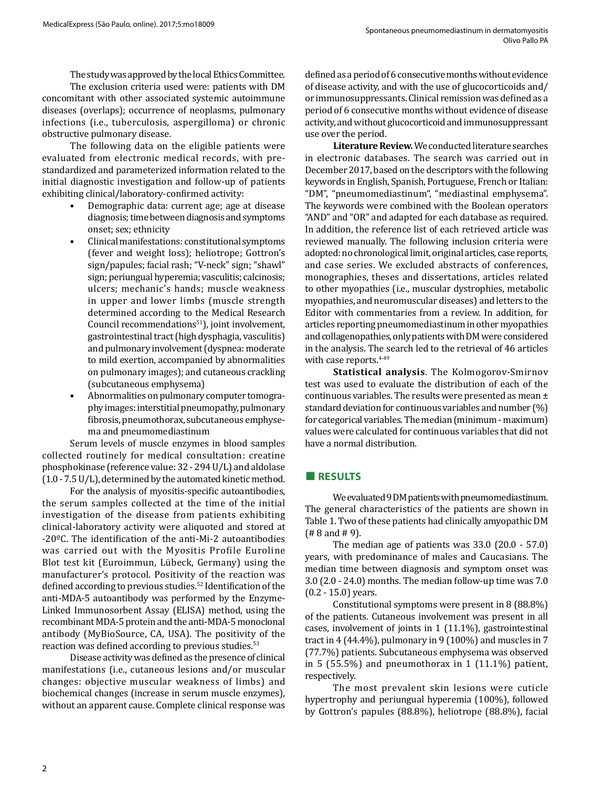The study was approved by the local Ethics Committee.

The exclusion criteria used were: patients with DM concomitant with other associated systemic autoimmune diseases (overlaps); occurrence of neoplasms, pulmonary infections (i.e., tuberculosis, aspergilloma) or chronic obstructive pulmonary disease.

The following data on the eligible patients were evaluated from electronic medical records, with prestandardized and parameterized information related to the initial diagnostic investigation and follow-up of patients exhibiting clinical/laboratory-confirmed activity:

- Demographic data: current age; age at disease diagnosis; time between diagnosis and symptoms onset; sex; ethnicity
- Clinical manifestations: constitutional symptoms (fever and weight loss); heliotrope; Gottron's sign/papules; facial rash; "V-neck" sign; "shawl" sign; periungual hyperemia; vasculitis; calcinosis; ulcers; mechanic's hands; muscle weakness in upper and lower limbs (muscle strength determined according to the Medical Research Council recommendations<sup>51</sup>), joint involvement, gastrointestinal tract (high dysphagia, vasculitis) and pulmonary involvement (dyspnea: moderate to mild exertion, accompanied by abnormalities on pulmonary images); and cutaneous crackling (subcutaneous emphysema)
- Abnormalities on pulmonary computer tomography images: interstitial pneumopathy, pulmonary fibrosis, pneumothorax, subcutaneous emphysema and pneumomediastinum

Serum levels of muscle enzymes in blood samples collected routinely for medical consultation: creatine phosphokinase (reference value: 32 - 294 U/L) and aldolase (1.0 - 7.5 U/L), determined by the automated kinetic method.

For the analysis of myositis-specific autoantibodies, the serum samples collected at the time of the initial investigation of the disease from patients exhibiting clinical-laboratory activity were aliquoted and stored at -20ºC. The identification of the anti-Mi-2 autoantibodies was carried out with the Myositis Profile Euroline Blot test kit (Euroimmun, Lübeck, Germany) using the manufacturer's protocol. Positivity of the reaction was defined according to previous studies.<sup>52</sup> Identification of the anti-MDA-5 autoantibody was performed by the Enzyme-Linked Immunosorbent Assay (ELISA) method, using the recombinant MDA-5 protein and the anti-MDA-5 monoclonal antibody (MyBioSource, CA, USA). The positivity of the reaction was defined according to previous studies.<sup>53</sup>

Disease activity was defined as the presence of clinical manifestations (i.e., cutaneous lesions and/or muscular changes: objective muscular weakness of limbs) and biochemical changes (increase in serum muscle enzymes), without an apparent cause. Complete clinical response was

defined as a period of 6 consecutive months without evidence of disease activity, and with the use of glucocorticoids and/ or immunosuppressants. Clinical remission was defined as a period of 6 consecutive months without evidence of disease activity, and without glucocorticoid and immunosuppressant use over the period.

**Literature Review.** We conducted literature searches in electronic databases. The search was carried out in December 2017, based on the descriptors with the following keywords in English, Spanish, Portuguese, French or Italian: "DM", "pneumomediastinum", "mediastinal emphysema". The keywords were combined with the Boolean operators "AND" and "OR" and adapted for each database as required. In addition, the reference list of each retrieved article was reviewed manually. The following inclusion criteria were adopted: no chronological limit, original articles, case reports, and case series. We excluded abstracts of conferences, monographies, theses and dissertations, articles related to other myopathies (i.e., muscular dystrophies, metabolic myopathies, and neuromuscular diseases) and letters to the Editor with commentaries from a review. In addition, for articles reporting pneumomediastinum in other myopathies and collagenopathies, only patients with DM were considered in the analysis. The search led to the retrieval of 46 articles with case reports.<sup>4-49</sup>

**Statistical analysis**. The Kolmogorov-Smirnov test was used to evaluate the distribution of each of the continuous variables. The results were presented as mean ± standard deviation for continuous variables and number (%) for categorical variables. The median (minimum - maximum) values were calculated for continuous variables that did not have a normal distribution.

#### **■ RESULTS**

We evaluated 9 DM patients with pneumomediastinum. The general characteristics of the patients are shown in Table 1. Two of these patients had clinically amyopathic DM (# 8 and # 9).

The median age of patients was 33.0 (20.0 - 57.0) years, with predominance of males and Caucasians. The median time between diagnosis and symptom onset was 3.0 (2.0 - 24.0) months. The median follow-up time was 7.0 (0.2 - 15.0) years.

Constitutional symptoms were present in 8 (88.8%) of the patients. Cutaneous involvement was present in all cases, involvement of joints in 1 (11.1%), gastrointestinal tract in 4 (44.4%), pulmonary in 9 (100%) and muscles in 7 (77.7%) patients. Subcutaneous emphysema was observed in 5 (55.5%) and pneumothorax in 1 (11.1%) patient, respectively.

The most prevalent skin lesions were cuticle hypertrophy and periungual hyperemia (100%), followed by Gottron's papules (88.8%), heliotrope (88.8%), facial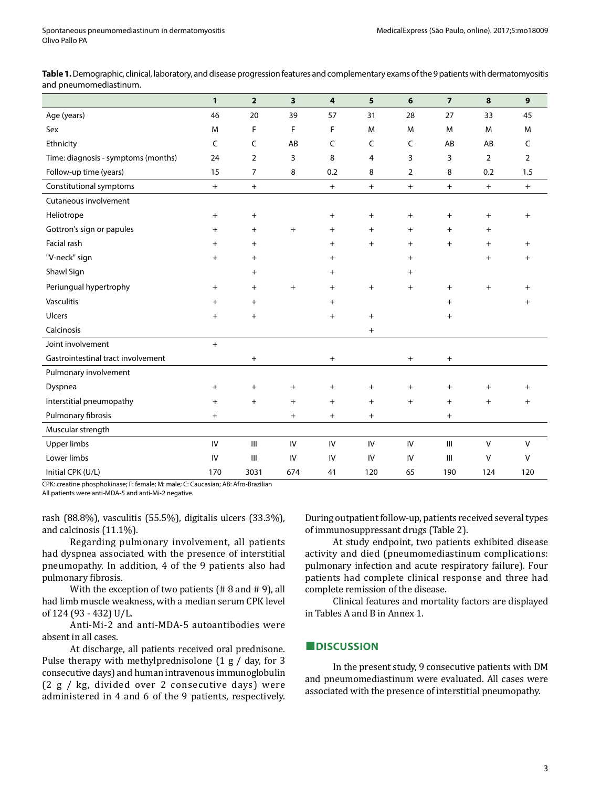**Table 1.** Demographic, clinical, laboratory, and disease progression features and complementary exams of the 9 patients with dermatomyositis and pneumomediastinum.

|                                     | $\mathbf{1}$ | $\overline{2}$ | 3         | 4         | 5         | 6         | $\overline{7}$                   | 8              | 9         |
|-------------------------------------|--------------|----------------|-----------|-----------|-----------|-----------|----------------------------------|----------------|-----------|
| Age (years)                         | 46           | 20             | 39        | 57        | 31        | 28        | 27                               | 33             | 45        |
| Sex                                 | M            | F              | F         | F         | M         | M         | M                                | M              | M         |
| Ethnicity                           | C            | C              | AB        | C         | C         | C         | AB                               | AB             | C         |
| Time: diagnosis - symptoms (months) | 24           | 2              | 3         | 8         | 4         | 3         | 3                                | $\overline{2}$ | 2         |
| Follow-up time (years)              | 15           | $\overline{7}$ | 8         | 0.2       | 8         | 2         | 8                                | 0.2            | 1.5       |
| Constitutional symptoms             | $+$          | $+$            |           | $+$       | $+$       | $^{+}$    | $\pm$                            | $+$            | $+$       |
| Cutaneous involvement               |              |                |           |           |           |           |                                  |                |           |
| Heliotrope                          | $^{+}$       | $\ddot{}$      |           | $^{+}$    | $\ddot{}$ | $+$       | $\ddot{}$                        | $+$            | $+$       |
| Gottron's sign or papules           | $^{+}$       | $+$            | $\ddot{}$ | $\ddot{}$ | $^{+}$    | $\ddot{}$ | $^{+}$                           | $\ddot{}$      |           |
| Facial rash                         | $^{+}$       | $\ddot{}$      |           | $\ddot{}$ | $^{+}$    | $\ddot{}$ | $+$                              | $\ddot{}$      | $+$       |
| "V-neck" sign                       | $^{+}$       | $\ddot{}$      |           | $\ddot{}$ |           | $\ddot{}$ |                                  | $\ddot{}$      | $^+$      |
| Shawl Sign                          |              | $\ddot{}$      |           | $\pm$     |           | $^{+}$    |                                  |                |           |
| Periungual hypertrophy              | $^{+}$       | $+$            | $^{+}$    | $\ddot{}$ | $^{+}$    | $^{+}$    | $^{+}$                           | $\ddot{}$      | $^{+}$    |
| <b>Vasculitis</b>                   | $^{+}$       | $\ddot{}$      |           | $\ddot{}$ |           |           | $\ddot{}$                        |                | $\pm$     |
| Ulcers                              | $^{+}$       | $^{+}$         |           | $^{+}$    | $^{+}$    |           | $^{+}$                           |                |           |
| Calcinosis                          |              |                |           |           | $^{+}$    |           |                                  |                |           |
| Joint involvement                   | $^{+}$       |                |           |           |           |           |                                  |                |           |
| Gastrointestinal tract involvement  |              | $+$            |           | $\ddot{}$ |           | $\ddot{}$ | $\begin{array}{c} + \end{array}$ |                |           |
| Pulmonary involvement               |              |                |           |           |           |           |                                  |                |           |
| Dyspnea                             | $^{+}$       | $^{+}$         | $\ddot{}$ | $^{+}$    | $^{+}$    | $\ddot{}$ | $\ddot{}$                        | $\ddot{}$      | $\ddot{}$ |
| Interstitial pneumopathy            | $+$          | $+$            | $+$       | $+$       | $+$       | $^{+}$    | $+$                              | $+$            | $\ddot{}$ |
| Pulmonary fibrosis                  | $\ddot{}$    |                | $^{+}$    | $^{+}$    | $^{+}$    |           | $+$                              |                |           |
| Muscular strength                   |              |                |           |           |           |           |                                  |                |           |
| <b>Upper limbs</b>                  | IV           | $\mathbf{III}$ | IV        | IV        | IV        | IV        | Ш                                | $\mathsf{V}$   | $\vee$    |
| Lower limbs                         | IV           | III            | IV        | IV        | IV        | IV        | III                              | V              | $\vee$    |
| Initial CPK (U/L)                   | 170          | 3031           | 674       | 41        | 120       | 65        | 190                              | 124            | 120       |

CPK: creatine phosphokinase; F: female; M: male; C: Caucasian; AB: Afro-Brazilian

All patients were anti-MDA-5 and anti-Mi-2 negative.

rash (88.8%), vasculitis (55.5%), digitalis ulcers (33.3%), and calcinosis (11.1%).

Regarding pulmonary involvement, all patients had dyspnea associated with the presence of interstitial pneumopathy. In addition, 4 of the 9 patients also had pulmonary fibrosis.

With the exception of two patients (# 8 and # 9), all had limb muscle weakness, with a median serum CPK level of 124 (93 - 432) U/L.

Anti-Mi-2 and anti-MDA-5 autoantibodies were absent in all cases.

At discharge, all patients received oral prednisone. Pulse therapy with methylprednisolone (1 g / day, for 3 consecutive days) and human intravenous immunoglobulin (2 g / kg, divided over 2 consecutive days) were administered in 4 and 6 of the 9 patients, respectively.

During outpatient follow-up, patients received several types of immunosuppressant drugs (Table 2).

At study endpoint, two patients exhibited disease activity and died (pneumomediastinum complications: pulmonary infection and acute respiratory failure). Four patients had complete clinical response and three had complete remission of the disease.

Clinical features and mortality factors are displayed in Tables A and B in Annex 1.

# **■DISCUSSION**

In the present study, 9 consecutive patients with DM and pneumomediastinum were evaluated. All cases were associated with the presence of interstitial pneumopathy.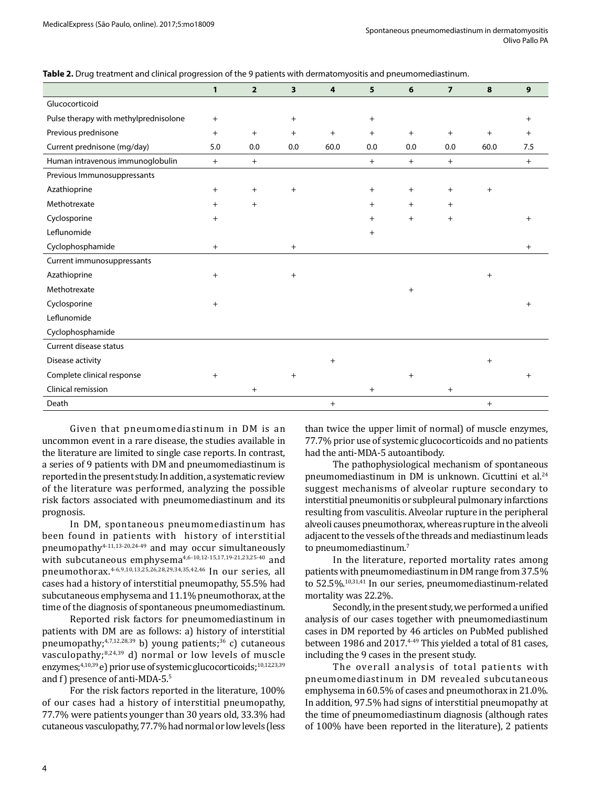| Table 2. Drug treatment and clinical progression of the 9 patients with dermatomyositis and pneumomediastinum. |  |  |  |
|----------------------------------------------------------------------------------------------------------------|--|--|--|
|----------------------------------------------------------------------------------------------------------------|--|--|--|

|                                       | $\mathbf{1}$ | $\overline{2}$ | 3         | 4         | 5 <sup>5</sup> | 6      | $\overline{7}$ | 8         | $\mathbf{9}$   |
|---------------------------------------|--------------|----------------|-----------|-----------|----------------|--------|----------------|-----------|----------------|
| Glucocorticoid                        |              |                |           |           |                |        |                |           |                |
| Pulse therapy with methylprednisolone | $+$          |                | $\ddot{}$ |           | $\ddot{}$      |        |                |           | $\ddot{}$      |
| Previous prednisone                   | $+$          | $+$            | $+$       | $+$       | $^{+}$         | $+$    | $+$            | $+$       | $^{+}$         |
| Current prednisone (mg/day)           | 5.0          | 0.0            | 0.0       | 60.0      | 0.0            | 0.0    | 0.0            | 60.0      | 7.5            |
| Human intravenous immunoglobulin      | $+$          | $+$            |           |           | $+$            | $+$    | $+$            |           | $+$            |
| Previous Immunosuppressants           |              |                |           |           |                |        |                |           |                |
| Azathioprine                          | $+$          | $+$            | $\ddot{}$ |           | $\ddot{}$      | $^{+}$ | $\ddot{}$      | $\ddot{}$ |                |
| Methotrexate                          | $+$          | $\ddot{}$      |           |           | $^{+}$         | $+$    | $^{+}$         |           |                |
| Cyclosporine                          | $^{+}$       |                |           |           | $^{+}$         | $^{+}$ | $+$            |           | $^{+}$         |
| Leflunomide                           |              |                |           |           | $+$            |        |                |           |                |
| Cyclophosphamide                      | $+$          |                | $\ddot{}$ |           |                |        |                |           | $\ddot{}$      |
| Current immunosuppressants            |              |                |           |           |                |        |                |           |                |
| Azathioprine                          | $+$          |                | $\ddot{}$ |           |                |        |                | $^{+}$    |                |
| Methotrexate                          |              |                |           |           |                | $^{+}$ |                |           |                |
| Cyclosporine                          | $+$          |                |           |           |                |        |                |           | $\overline{+}$ |
| Leflunomide                           |              |                |           |           |                |        |                |           |                |
| Cyclophosphamide                      |              |                |           |           |                |        |                |           |                |
| Current disease status                |              |                |           |           |                |        |                |           |                |
| Disease activity                      |              |                |           | $\ddot{}$ |                |        |                | $^{+}$    |                |
| Complete clinical response            | $+$          |                | $+$       |           |                | $^{+}$ |                |           | $\pm$          |
| Clinical remission                    |              | $^{+}$         |           |           | $\ddot{}$      |        | $\ddot{}$      |           |                |
| Death                                 |              |                |           | $+$       |                |        |                | $^{+}$    |                |

Given that pneumomediastinum in DM is an uncommon event in a rare disease, the studies available in the literature are limited to single case reports. In contrast, a series of 9 patients with DM and pneumomediastinum is reported in the present study. In addition, a systematic review of the literature was performed, analyzing the possible risk factors associated with pneumomediastinum and its prognosis.

In DM, spontaneous pneumomediastinum has been found in patients with history of interstitial pneumopathy<sup>4-11,13-20,24-49</sup> and may occur simultaneously with subcutaneous emphysema<sup>4,6-10,12-15,17,19-21,23,25-40</sup> and pneumothorax.<sup>4-6,9,10,13,25,26,28,29,34,35,42,46</sup> In our series, all cases had a history of interstitial pneumopathy, 55.5% had subcutaneous emphysema and 11.1% pneumothorax, at the time of the diagnosis of spontaneous pneumomediastinum.

Reported risk factors for pneumomediastinum in patients with DM are as follows: a) history of interstitial pneumopathy;<sup>4,7,12,28,39</sup> b) young patients;<sup>36</sup> c) cutaneous vasculopathy; $8,24,39$  d) normal or low levels of muscle enzymes;<sup>4,10,39</sup> e) prior use of systemic glucocorticoids;<sup>10,12,23,39</sup> and f) presence of anti-MDA-5.5

For the risk factors reported in the literature, 100% of our cases had a history of interstitial pneumopathy, 77.7% were patients younger than 30 years old, 33.3% had cutaneous vasculopathy, 77.7% had normal or low levels (less than twice the upper limit of normal) of muscle enzymes, 77.7% prior use of systemic glucocorticoids and no patients had the anti-MDA-5 autoantibody.

The pathophysiological mechanism of spontaneous pneumomediastinum in DM is unknown. Cicuttini et al.24 suggest mechanisms of alveolar rupture secondary to interstitial pneumonitis or subpleural pulmonary infarctions resulting from vasculitis. Alveolar rupture in the peripheral alveoli causes pneumothorax, whereas rupture in the alveoli adjacent to the vessels of the threads and mediastinum leads to pneumomediastinum.7

In the literature, reported mortality rates among patients with pneumomediastinum in DM range from 37.5% to 52.5%.10,31,41 In our series, pneumomediastinum-related mortality was 22.2%.

Secondly, in the present study, we performed a unified analysis of our cases together with pneumomediastinum cases in DM reported by 46 articles on PubMed published between 1986 and 2017.<sup>4-49</sup> This yielded a total of 81 cases, including the 9 cases in the present study.

The overall analysis of total patients with pneumomediastinum in DM revealed subcutaneous emphysema in 60.5% of cases and pneumothorax in 21.0%. In addition, 97.5% had signs of interstitial pneumopathy at the time of pneumomediastinum diagnosis (although rates of 100% have been reported in the literature), 2 patients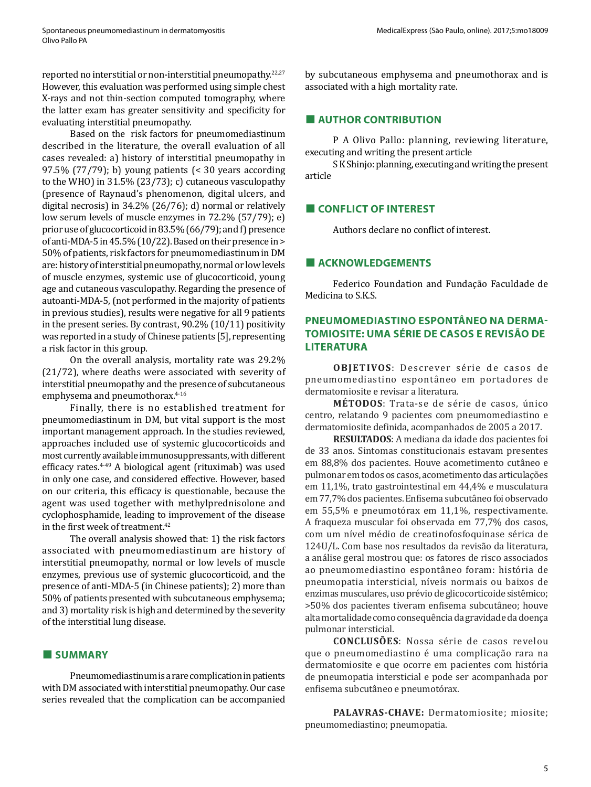reported no interstitial or non-interstitial pneumopathy.22,27 However, this evaluation was performed using simple chest X-rays and not thin-section computed tomography, where the latter exam has greater sensitivity and specificity for evaluating interstitial pneumopathy.

Based on the risk factors for pneumomediastinum described in the literature, the overall evaluation of all cases revealed: a) history of interstitial pneumopathy in 97.5% (77/79); b) young patients (< 30 years according to the WHO) in 31.5% (23/73); c) cutaneous vasculopathy (presence of Raynaud's phenomenon, digital ulcers, and digital necrosis) in 34.2% (26/76); d) normal or relatively low serum levels of muscle enzymes in 72.2% (57/79); e) prior use of glucocorticoid in 83.5% (66/79); and f) presence of anti-MDA-5 in 45.5% (10/22). Based on their presence in > 50% of patients, risk factors for pneumomediastinum in DM are: history of interstitial pneumopathy, normal or low levels of muscle enzymes, systemic use of glucocorticoid, young age and cutaneous vasculopathy. Regarding the presence of autoanti-MDA-5, (not performed in the majority of patients in previous studies), results were negative for all 9 patients in the present series. By contrast, 90.2% (10/11) positivity was reported in a study of Chinese patients [5], representing a risk factor in this group.

On the overall analysis, mortality rate was 29.2% (21/72), where deaths were associated with severity of interstitial pneumopathy and the presence of subcutaneous emphysema and pneumothorax.<sup>4-16</sup>

Finally, there is no established treatment for pneumomediastinum in DM, but vital support is the most important management approach. In the studies reviewed, approaches included use of systemic glucocorticoids and most currently available immunosuppressants, with different efficacy rates.4-49 A biological agent (rituximab) was used in only one case, and considered effective. However, based on our criteria, this efficacy is questionable, because the agent was used together with methylprednisolone and cyclophosphamide, leading to improvement of the disease in the first week of treatment.<sup>42</sup>

The overall analysis showed that: 1) the risk factors associated with pneumomediastinum are history of interstitial pneumopathy, normal or low levels of muscle enzymes, previous use of systemic glucocorticoid, and the presence of anti-MDA-5 (in Chinese patients); 2) more than 50% of patients presented with subcutaneous emphysema; and 3) mortality risk is high and determined by the severity of the interstitial lung disease.

#### **■ SUMMARY**

Pneumomediastinum is a rare complication in patients with DM associated with interstitial pneumopathy. Our case series revealed that the complication can be accompanied by subcutaneous emphysema and pneumothorax and is associated with a high mortality rate.

#### **■ AUTHOR CONTRIBUTION**

P A Olivo Pallo: planning, reviewing literature, executing and writing the present article

S K Shinjo: planning, executing and writing the present article

### **■ CONFLICT OF INTEREST**

Authors declare no conflict of interest.

#### **■ ACKNOWLEDGEMENTS**

Federico Foundation and Fundação Faculdade de Medicina to S.K.S.

# **PNEUMOMEDIASTINO ESPONTÂNEO NA DERMA-TOMIOSITE: UMA SÉRIE DE CASOS E REVISÃO DE LITERATURA**

**OBJETIVOS**: Descrever série de casos de pneumomediastino espontâneo em portadores de dermatomiosite e revisar a literatura.

**MÉTODOS**: Trata-se de série de casos, único centro, relatando 9 pacientes com pneumomediastino e dermatomiosite definida, acompanhados de 2005 a 2017.

**RESULTADOS**: A mediana da idade dos pacientes foi de 33 anos. Sintomas constitucionais estavam presentes em 88,8% dos pacientes. Houve acometimento cutâneo e pulmonar em todos os casos, acometimento das articulações em 11,1%, trato gastrointestinal em 44,4% e musculatura em 77,7% dos pacientes. Enfisema subcutâneo foi observado em 55,5% e pneumotórax em 11,1%, respectivamente. A fraqueza muscular foi observada em 77,7% dos casos, com um nível médio de creatinofosfoquinase sérica de 124U/L. Com base nos resultados da revisão da literatura, a análise geral mostrou que: os fatores de risco associados ao pneumomediastino espontâneo foram: história de pneumopatia intersticial, níveis normais ou baixos de enzimas musculares, uso prévio de glicocorticoide sistêmico; >50% dos pacientes tiveram enfisema subcutâneo; houve alta mortalidade como consequência da gravidade da doença pulmonar intersticial.

**CONCLUSÕES**: Nossa série de casos revelou que o pneumomediastino é uma complicação rara na dermatomiosite e que ocorre em pacientes com história de pneumopatia intersticial e pode ser acompanhada por enfisema subcutâneo e pneumotórax.

**PALAVRAS-CHAVE:** Dermatomiosite; miosite; pneumomediastino; pneumopatia.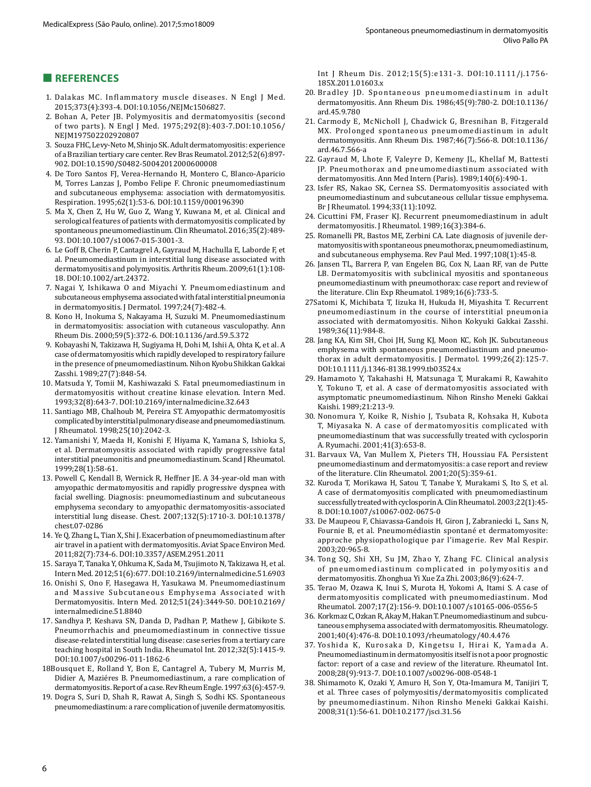### **■ REFERENCES**

- 1. Dalakas MC. Inflammatory muscle diseases. N Engl J Med. 2015;373(4):393-4. DOI:10.1056/NEJMc1506827.
- 2. Bohan A, Peter JB. Polymyositis and dermatomyositis (second of two parts). N Engl J Med. 1975;292(8):403-7.DOI:10.1056/ NEJM197502202920807
- 3. Souza FHC, Levy-Neto M, Shinjo SK. Adult dermatomyositis: experience of a Brazilian tertiary care center. Rev Bras Reumatol. 2012;52(6):897- 902. DOI:10.1590/S0482-50042012000600008
- 4. De Toro Santos FJ, Verea-Hernando H, Montero C, Blanco-Aparicio M, Torres Lanzas J, Pombo Felipe F. Chronic pneumomediastinum and subcutaneous emphysema: association with dermatomyositis. Respiration. 1995;62(1):53-6. DOI:10.1159/000196390
- 5. Ma X, Chen Z, Hu W, Guo Z, Wang Y, [Kuwana M](https://www.ncbi.nlm.nih.gov/pubmed/?term=Kuwana%20M%5BAuthor%5D&cauthor=true&cauthor_uid=26149923), et al. Clinical and serological features of patients with dermatomyositis complicated by spontaneous pneumomediastinum. Clin Rheumatol. 2016;35(2):489- 93. DOI:10.1007/s10067-015-3001-3.
- 6. Le Goff B, Cherin P, Cantagrel A, Gayraud M, Hachulla E, [Laborde F,](https://www.ncbi.nlm.nih.gov/pubmed/?term=Laborde%20F%5BAuthor%5D&cauthor=true&cauthor_uid=19116970) et al. Pneumomediastinum in interstitial lung disease associated with dermatomyositis and polymyositis. Arthritis Rheum. 2009;61(1):108- 18. DOI:10.1002/art.24372.
- 7. Nagai Y, Ishikawa O and Miyachi Y. Pneumomediastinum and subcutaneous emphysema associated with fatal interstitial pneumonia in dermatomyositis. J Dermatol. 1997;24(7):482-4.
- 8. Kono H, Inokuma S, Nakayama H, Suzuki M. Pneumomediastinum in dermatomyositis: association with cutaneous vasculopathy. Ann Rheum Dis. 2000;59(5):372-6. DOI:10.1136/ard.59.5.372
- 9. Kobayashi N, Takizawa H, Sugiyama H, Dohi M, [Ishii A](https://www.ncbi.nlm.nih.gov/pubmed/?term=Ishii%20A%5BAuthor%5D&cauthor=true&cauthor_uid=2681909), [Ohta K,](https://www.ncbi.nlm.nih.gov/pubmed/?term=Ohta%20K%5BAuthor%5D&cauthor=true&cauthor_uid=2681909) et al. A case of dermatomyositis which rapidly developed to respiratory failure in the presence of pneumomediastinum. Nihon Kyobu Shikkan Gakkai Zasshi. 1989;27(7):848-54.
- 10. Matsuda Y, Tomii M, Kashiwazaki S. Fatal pneumomediastinum in dermatomyositis without creatine kinase elevation. I[ntern Med](https://www.ncbi.nlm.nih.gov/pubmed/8312664). 1993;32(8):643-7. DOI:10.2169/internalmedicine.32.643
- 11. Santiago MB, Chalhoub M, Pereira ST. Amyopathic dermatomyositis complicated by interstitial pulmonary disease and pneumomediastinum. J Rheumatol. 1998;25(10):2042-3.
- 12. Yamanishi Y, Maeda H, Konishi F, Hiyama K, [Yamana S](https://www.ncbi.nlm.nih.gov/pubmed/?term=Yamana%20S%5BAuthor%5D&cauthor=true&cauthor_uid=10092167), [Ishioka S](https://www.ncbi.nlm.nih.gov/pubmed/?term=Ishioka%20S%5BAuthor%5D&cauthor=true&cauthor_uid=10092167), [et](https://www.ncbi.nlm.nih.gov/pubmed/?term=Yamakido%20M%5BAuthor%5D&cauthor=true&cauthor_uid=10092167) al. Dermatomyositis associated with rapidly progressive fatal interstitial pneumonitis and pneumomediastinum. Scand J Rheumatol. 1999;28(1):58-61.
- 13. Powell C, Kendall B, Wernick R, Heffner JE. A 34-year-old man with amyopathic dermatomyositis and rapidly progressive dyspnea with facial swelling. Diagnosis: pneumomediastinum and subcutaneous emphysema secondary to amyopathic dermatomyositis-associated interstitial lung disease. Chest. 2007;132(5):1710-3. DOI:10.1378/ chest.07-0286
- 14. Ye Q, Zhang L, Tian X, Shi J. Exacerbation of pneumomediastinum after air travel in a patient with dermatomyositis. Aviat Space Environ Med. 2011;82(7):734-6. DOI:10.3357/ASEM.2951.2011
- 15. Saraya T, Tanaka Y, Ohkuma K, Sada M, [Tsujimoto N,](https://www.ncbi.nlm.nih.gov/pubmed/?term=Tsujimoto%20N%5BAuthor%5D&cauthor=true&cauthor_uid=22449688) [Takizawa H,](https://www.ncbi.nlm.nih.gov/pubmed/?term=Takizawa%20H%5BAuthor%5D&cauthor=true&cauthor_uid=22449688) [et](https://www.ncbi.nlm.nih.gov/pubmed/?term=Goto%20H%5BAuthor%5D&cauthor=true&cauthor_uid=22449688) al. Intern Med. 2012;51(6):677. DOI:10.2169/internalmedicine.51.6903
- 16. Onishi S, Ono F, Hasegawa H, Yasukawa M. Pneumomediastinum and Massive Subcutaneous Emphysema Associated with Dermatomyositis. Intern Med. 2012;51(24):3449-50. DOI:10.2169/ internalmedicine.51.8840
- 17. Sandhya P, Keshava SN, Danda D, Padhan P, Mathew J, Gibikote S. Pneumorrhachis and pneumomediastinum in connective tissue disease-related interstitial lung disease: case series from a tertiary care teaching hospital in South India. Rheumatol Int. 2012;32(5):1415-9. DOI:10.1007/s00296-011-1862-6
- 18Bousquet E, Rolland Y, Bon E, Cantagrel A, Tubery M, Murris M, [Didier A,](https://www.ncbi.nlm.nih.gov/pubmed/?term=Didier%20A%5BAuthor%5D&cauthor=true&cauthor_uid=8817759) [Maziéres B](https://www.ncbi.nlm.nih.gov/pubmed/?term=Mazi%C3%A9res%20B%5BAuthor%5D&cauthor=true&cauthor_uid=8817759). Pneumomediastinum, a rare complication of dermatomyositis. Report of a case. Rev Rheum Engle. 1997;63(6):457-9.
- 19. Dogra S, Suri D, Shah R, Rawat A, Singh S, Sodhi KS. Spontaneous pneumomediastinum: a rare complication of juvenile dermatomyositis.

Int J Rheum Dis. 2012;15(5):e131-3. DOI:10.1111/j.1756- 185X.2011.01603.x

- 20. Bradley JD. Spontaneous pneumomediastinum in adult dermatomyositis. Ann Rheum Dis. 1986;45(9):780-2. DOI:10.1136/ ard.45.9.780
- 21. Carmody E, McNicholl J, Chadwick G, Bresnihan B, Fitzgerald MX. Prolonged spontaneous pneumomediastinum in adult dermatomyositis. Ann Rheum Dis. 1987;46(7):566-8. DOI:10.1136/ ard.46.7.566-a
- 22. Gayraud M, Lhote F, Valeyre D, Kemeny JL, Khellaf M, Battesti JP. Pneumothorax and pneumomediastinum associated with dermatomyositis. Ann Med Intern (Paris). 1989;140(6):490-1.
- 23. Isfer RS, Nakao SK, Cernea SS. Dermatomyositis associated with pneumomediastinum and subcutaneous cellular tissue emphysema. Br J Rheumatol. 1994;33(11):1092.
- 24. Cicuttini FM, Fraser KJ. Recurrent pneumomediastinum in adult dermatomyositis. J Rheumatol. 1989;16(3):384-6.
- 25. Romanelli PR, Bastos ME, Zerbini CA. Late diagnosis of juvenile dermatomyositis with spontaneous pneumothorax, pneumomediastinum, and subcutaneous emphysema. Rev Paul Med. 1997;108(1):45-8.
- 26. Jansen TL, Barrera P, van Engelen BG, Cox N, Laan RF, van de Putte LB. Dermatomyositis with subclinical myositis and spontaneous pneumomediastinum with pneumothorax: case report and review of the literature. Clin Exp Rheumatol. 1989;16(6):733-5.
- 27Satomi K, Michibata T, Iizuka H, Hukuda H, Miyashita T. Recurrent pneumomediastinum in the course of interstitial pneumonia associated with dermatomyositis. Nihon Kokyuki Gakkai Zasshi. 1989;36(11):984-8.
- 28. Jang KA, Kim SH, Choi JH, Sung KJ, [Moon KC](https://www.ncbi.nlm.nih.gov/pubmed/?term=Moon%20KC%5BAuthor%5D&cauthor=true&cauthor_uid=10091485), [Koh JK.](https://www.ncbi.nlm.nih.gov/pubmed/?term=Koh%20JK%5BAuthor%5D&cauthor=true&cauthor_uid=10091485) Subcutaneous emphysema with spontaneous pneumomediastinum and pneumothorax in adult dermatomyositis. J Dermatol. 1999;26(2):125-7. DOI:10.1111/j.1346-8138.1999.tb03524.x
- 29. Hamamoto Y, Takahashi H, Matsunaga T, Murakami R, [Kawahito](https://www.ncbi.nlm.nih.gov/pubmed/?term=Kawahito%20Y%5BAuthor%5D&cauthor=true&cauthor_uid=11155594)  [Y](https://www.ncbi.nlm.nih.gov/pubmed/?term=Kawahito%20Y%5BAuthor%5D&cauthor=true&cauthor_uid=11155594), [Tokuno T,](https://www.ncbi.nlm.nih.gov/pubmed/?term=Tokuno%20T%5BAuthor%5D&cauthor=true&cauthor_uid=11155594) et al. A case of dermatomyositis associated with asymptomatic pneumomediastinum. Nihon Rinsho Meneki Gakkai Kaishi. 1989;21:213-9.
- 30. Nonomura Y, Koike R, Nishio J, Tsubata R, Kohsaka H, Kubota T, Miyasaka N. A case of dermatomyositis complicated with pneumomediastinum that was successfully treated with cyclosporin A. Ryumachi. 2001;41(3):653-8.
- 31. Barvaux VA, Van Mullem X, Pieters TH, Houssiau FA. Persistent pneumomediastinum and dermatomyositis: a case report and review of the literature. Clin Rheumatol. 2001;20(5):359-61.
- 32. Kuroda T, Morikawa H, Satou T, Tanabe Y, [Murakami S,](https://www.ncbi.nlm.nih.gov/pubmed/?term=Murakami%20S%5BAuthor%5D&cauthor=true&cauthor_uid=12605318) [Ito S](https://www.ncbi.nlm.nih.gov/pubmed/?term=Ito%20S%5BAuthor%5D&cauthor=true&cauthor_uid=12605318), et al. A case of dermatomyositis complicated with pneumomediastinum successfully treated with cyclosporin A. Clin Rheumatol. 2003;22(1):45- 8. DOI:10.1007/s10067-002-0675-0
- 33. De Maupeou F, Chiavassa-Gandois H, Giron J, Zabraniecki L, [Sans N](http://www.myobase.org/index.php?lvl=author_see&id=9008306), [Fournie B,](http://www.myobase.org/index.php?lvl=author_see&id=6363906) [et](http://www.myobase.org/index.php?lvl=author_see&id=8718906) al. Pneumomédiastin spontané et dermatomyosite: approche physiopathologique par l'imagerie. Rev Mal Respir. 2003;20:965-8.
- 34. Tong SQ, Shi XH, Su JM, Zhao Y, Zhang FC. Clinical analysis of pneumomediastinum complicated in polymyositis and dermatomyositis. Zhonghua Yi Xue Za Zhi. 2003;86(9):624-7.
- 35. Terao M, Ozawa K, Inui S, Murota H, Yokomi A, Itami S. A case of dermatomyositis complicated with pneumomediastinum. Mod Rheumatol. 2007;17(2):156-9. DOI:10.1007/s10165-006-0556-5
- 36. Korkmaz C, Ozkan R, Akay M, Hakan T. Pneumomediastinum and subcutaneous emphysema associated with dermatomyositis. Rheumatology. 2001;40(4):476-8. DOI:10.1093/rheumatology/40.4.476
- 37. Yoshida K, Kurosaka D, Kingetsu I, Hirai K, Yamada A. Pneumomediastinum in dermatomyositis itself is not a poor prognostic factor: report of a case and review of the literature. Rheumatol Int. 2008;28(9):913-7. DOI:10.1007/s00296-008-0548-1
- 38. Shimamoto K, Ozaki Y, Amuro H, Son Y, [Ota-Imamura M,](https://www.ncbi.nlm.nih.gov/pubmed/?term=Ota-Imamura%20M%5BAuthor%5D&cauthor=true&cauthor_uid=18311043) [Tanijiri T,](https://www.ncbi.nlm.nih.gov/pubmed/?term=Tanijiri%20T%5BAuthor%5D&cauthor=true&cauthor_uid=18311043) et al. Three cases of polymyositis/dermatomyositis complicated by pneumomediastinum. Nihon Rinsho Meneki Gakkai Kaishi. 2008;31(1):56-61. DOI:10.2177/jsci.31.56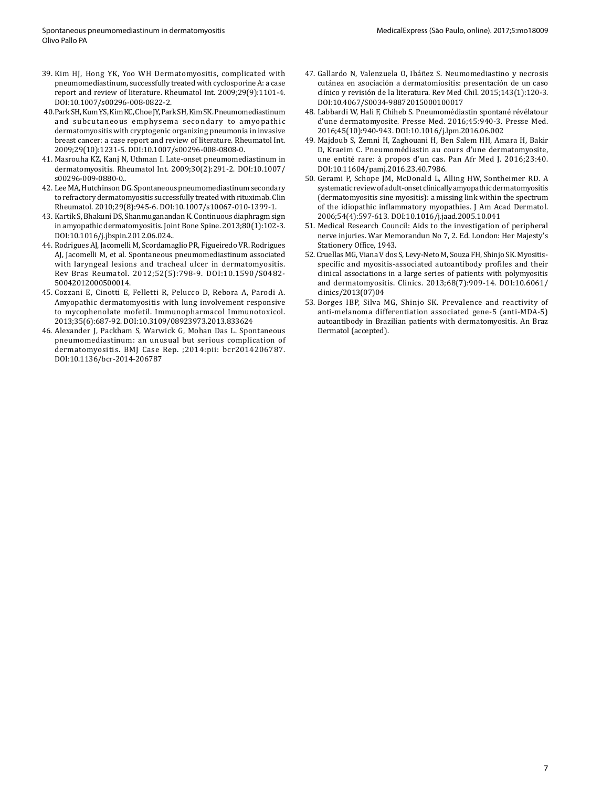- 39. Kim HJ, Hong YK, Yoo WH Dermatomyositis, complicated with pneumomediastinum, successfully treated with cyclosporine A: a case report and review of literature. Rheumatol Int. 2009;29(9):1101-4. DOI:10.1007/s00296-008-0822-2.
- 40.Park SH, Kum YS, Kim KC, Choe JY, Park SH, Kim SK. Pneumomediastinum and subcutaneous emphysema secondary to amyopathic dermatomyositis with cryptogenic organizing pneumonia in invasive breast cancer: a case report and review of literature. Rheumatol Int. 2009;29(10):1231-5. DOI:10.1007/s00296-008-0808-0.
- 41. Masrouha KZ, Kanj N, Uthman I. Late-onset pneumomediastinum in dermatomyositis. Rheumatol Int. 2009;30(2):291-2. DOI:10.1007/ s00296-009-0880-0..
- 42. Lee MA, Hutchinson DG. Spontaneous pneumomediastinum secondary to refractory dermatomyositis successfully treated with rituximab. Clin Rheumatol. 2010;29(8):945-6. DOI:10.1007/s10067-010-1399-1.
- 43. Kartik S, Bhakuni DS, Shanmuganandan K. Continuous diaphragm sign in amyopathic dermatomyositis. Joint Bone Spine. 2013;80(1):102-3. DOI:10.1016/j.jbspin.2012.06.024..
- 44. Rodrigues AJ, Jacomelli M, Scordamaglio PR, Figueiredo VR. Rodrigues AJ, Jacomelli M, et al. Spontaneous pneumomediastinum associated with laryngeal lesions and tracheal ulcer in dermatomyositis. Rev Bras Reumatol. 2012;52(5):798-9. DOI:10.1590/S0482- 50042012000500014.
- 45. Cozzani E, Cinotti E, Felletti R, Pelucco D, [Rebora A,](https://www.ncbi.nlm.nih.gov/pubmed/?term=Rebora%20A%5BAuthor%5D&cauthor=true&cauthor_uid=24004107) [Parodi A.](https://www.ncbi.nlm.nih.gov/pubmed/?term=Parodi%20A%5BAuthor%5D&cauthor=true&cauthor_uid=24004107) Amyopathic dermatomyositis with lung involvement responsive to mycophenolate mofetil. Immunopharmacol Immunotoxicol. 2013;35(6):687-92. DOI:10.3109/08923973.2013.833624
- 46. Alexander J, Packham S, Warwick G, Mohan Das L. Spontaneous pneumomediastinum: an unusual but serious complication of dermatomyositis. BMJ Case Rep. ;2014:pii: bcr2014206787. DOI:10.1136/bcr-2014-206787
- 47. Gallardo N, Valenzuela O, Ibáñez S. Neumomediastino y necrosis cutánea en asociación a dermatomiositis: presentación de un caso clínico y revisión de la literatura. Rev Med Chil. 2015;143(1):120-3. DOI:10.4067/S0034-98872015000100017
- 48. Labbardi W, Hali F, Chiheb S. Pneumomédiastin spontané révélatour d'une dermatomyosite. Presse Med. 2016;45:940-3. Presse Med. 2016;45(10):940-943. DOI:10.1016/j.lpm.2016.06.002
- 49. Majdoub S, Zemni H, Zaghouani H, Ben Salem HH, [Amara](https://www.ncbi.nlm.nih.gov/pubmed/?term=Amara%20H%5BAuthor%5D&cauthor=true&cauthor_uid=27200145) H, [Bakir](https://www.ncbi.nlm.nih.gov/pubmed/?term=Bakir%20D%5BAuthor%5D&cauthor=true&cauthor_uid=27200145)  D, [Kraeim](https://www.ncbi.nlm.nih.gov/pubmed/?term=Kraeim%20C%5BAuthor%5D&cauthor=true&cauthor_uid=27200145) C. Pneumomédiastin au cours d'une dermatomyosite, une entité rare: à propos d'un cas. Pan Afr Med J. 2016;23:40. DOI:10.11604/pamj.2016.23.40.7986.
- 50. Gerami P, Schope JM, McDonald L, Alling HW, Sontheimer RD. A systematic review of adult-onset clinically amyopathic dermatomyositis (dermatomyositis sine myositis): a missing link within the spectrum of the idiopathic inflammatory myopathies. J Am Acad Dermatol. 2006;54(4):597-613. DOI:10.1016/j.jaad.2005.10.041
- 51. Medical Research Council: Aids to the investigation of peripheral nerve injuries. War Memorandun No 7, 2. Ed. London: Her Majesty's Stationery Office, 1943.
- 52. Cruellas MG, Viana V dos S, Levy-Neto M, Souza FH, Shinjo SK. Myositisspecific and myositis-associated autoantibody profiles and their clinical associations in a large series of patients with polymyositis and dermatomyositis. Clinics. 2013;68(7):909-14. DOI:10.6061/ clinics/2013(07)04
- 53. Borges IBP, Silva MG, Shinjo SK. Prevalence and reactivity of anti-melanoma differentiation associated gene-5 (anti-MDA-5) autoantibody in Brazilian patients with dermatomyositis. An Braz Dermatol (accepted).